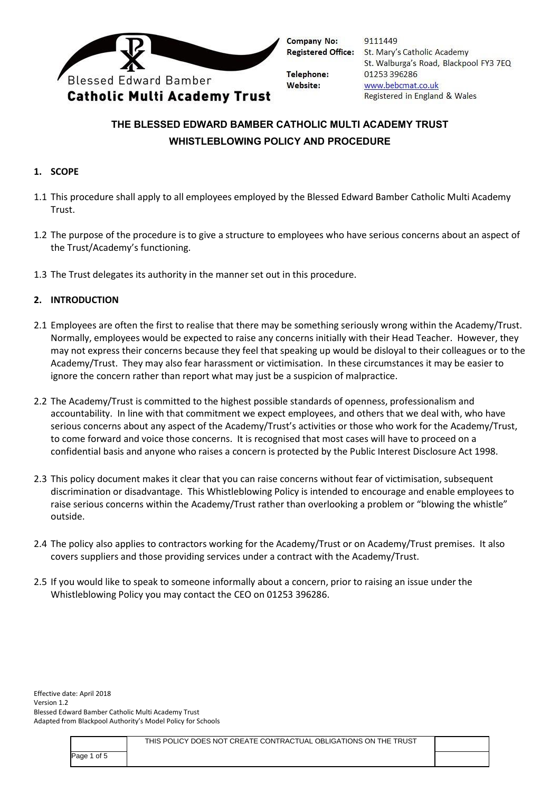

**Company No: Registered Office:** 

Telephone: Website:

9111449 St. Mary's Catholic Academy St. Walburga's Road, Blackpool FY3 7EQ 01253 396286 www.bebcmat.co.uk Registered in England & Wales

# **THE BLESSED EDWARD BAMBER CATHOLIC MULTI ACADEMY TRUST WHISTLEBLOWING POLICY AND PROCEDURE**

# **1. SCOPE**

- 1.1 This procedure shall apply to all employees employed by the Blessed Edward Bamber Catholic Multi Academy Trust.
- 1.2 The purpose of the procedure is to give a structure to employees who have serious concerns about an aspect of the Trust/Academy's functioning.
- 1.3 The Trust delegates its authority in the manner set out in this procedure.

## **2. INTRODUCTION**

- 2.1 Employees are often the first to realise that there may be something seriously wrong within the Academy/Trust. Normally, employees would be expected to raise any concerns initially with their Head Teacher. However, they may not express their concerns because they feel that speaking up would be disloyal to their colleagues or to the Academy/Trust. They may also fear harassment or victimisation. In these circumstances it may be easier to ignore the concern rather than report what may just be a suspicion of malpractice.
- 2.2 The Academy/Trust is committed to the highest possible standards of openness, professionalism and accountability. In line with that commitment we expect employees, and others that we deal with, who have serious concerns about any aspect of the Academy/Trust's activities or those who work for the Academy/Trust, to come forward and voice those concerns. It is recognised that most cases will have to proceed on a confidential basis and anyone who raises a concern is protected by the Public Interest Disclosure Act 1998.
- 2.3 This policy document makes it clear that you can raise concerns without fear of victimisation, subsequent discrimination or disadvantage. This Whistleblowing Policy is intended to encourage and enable employees to raise serious concerns within the Academy/Trust rather than overlooking a problem or "blowing the whistle" outside.
- 2.4 The policy also applies to contractors working for the Academy/Trust or on Academy/Trust premises. It also covers suppliers and those providing services under a contract with the Academy/Trust.
- 2.5 If you would like to speak to someone informally about a concern, prior to raising an issue under the Whistleblowing Policy you may contact the CEO on 01253 396286.

|             | THIS POLICY DOES NOT CREATE CONTRACTUAL OBLIGATIONS ON THE TRUST |  |
|-------------|------------------------------------------------------------------|--|
| Page 1 of 5 |                                                                  |  |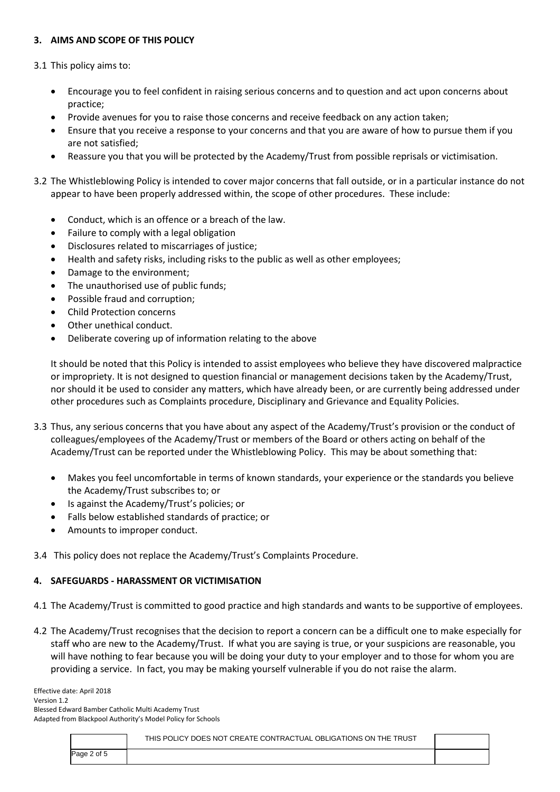## **3. AIMS AND SCOPE OF THIS POLICY**

3.1 This policy aims to:

- Encourage you to feel confident in raising serious concerns and to question and act upon concerns about practice;
- Provide avenues for you to raise those concerns and receive feedback on any action taken;
- Ensure that you receive a response to your concerns and that you are aware of how to pursue them if you are not satisfied;
- Reassure you that you will be protected by the Academy/Trust from possible reprisals or victimisation.
- 3.2 The Whistleblowing Policy is intended to cover major concerns that fall outside, or in a particular instance do not appear to have been properly addressed within, the scope of other procedures. These include:
	- Conduct, which is an offence or a breach of the law.
	- Failure to comply with a legal obligation
	- Disclosures related to miscarriages of justice;
	- Health and safety risks, including risks to the public as well as other employees;
	- Damage to the environment;
	- The unauthorised use of public funds;
	- Possible fraud and corruption;
	- Child Protection concerns
	- Other unethical conduct.
	- Deliberate covering up of information relating to the above

It should be noted that this Policy is intended to assist employees who believe they have discovered malpractice or impropriety. It is not designed to question financial or management decisions taken by the Academy/Trust, nor should it be used to consider any matters, which have already been, or are currently being addressed under other procedures such as Complaints procedure, Disciplinary and Grievance and Equality Policies.

- 3.3 Thus, any serious concerns that you have about any aspect of the Academy/Trust's provision or the conduct of colleagues/employees of the Academy/Trust or members of the Board or others acting on behalf of the Academy/Trust can be reported under the Whistleblowing Policy. This may be about something that:
	- Makes you feel uncomfortable in terms of known standards, your experience or the standards you believe the Academy/Trust subscribes to; or
	- Is against the Academy/Trust's policies; or
	- Falls below established standards of practice; or
	- Amounts to improper conduct.
- 3.4 This policy does not replace the Academy/Trust's Complaints Procedure.

#### **4. SAFEGUARDS - HARASSMENT OR VICTIMISATION**

- 4.1 The Academy/Trust is committed to good practice and high standards and wants to be supportive of employees.
- 4.2 The Academy/Trust recognises that the decision to report a concern can be a difficult one to make especially for staff who are new to the Academy/Trust. If what you are saying is true, or your suspicions are reasonable, you will have nothing to fear because you will be doing your duty to your employer and to those for whom you are providing a service. In fact, you may be making yourself vulnerable if you do not raise the alarm.

|             | THIS POLICY DOES NOT CREATE CONTRACTUAL OBLIGATIONS ON THE TRUST |  |
|-------------|------------------------------------------------------------------|--|
| Page 2 of 5 |                                                                  |  |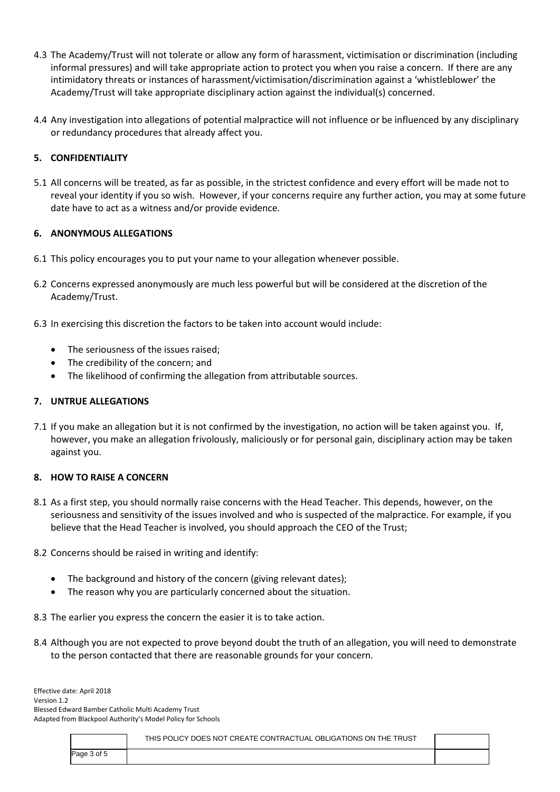- 4.3 The Academy/Trust will not tolerate or allow any form of harassment, victimisation or discrimination (including informal pressures) and will take appropriate action to protect you when you raise a concern. If there are any intimidatory threats or instances of harassment/victimisation/discrimination against a 'whistleblower' the Academy/Trust will take appropriate disciplinary action against the individual(s) concerned.
- 4.4 Any investigation into allegations of potential malpractice will not influence or be influenced by any disciplinary or redundancy procedures that already affect you.

# **5. CONFIDENTIALITY**

5.1 All concerns will be treated, as far as possible, in the strictest confidence and every effort will be made not to reveal your identity if you so wish. However, if your concerns require any further action, you may at some future date have to act as a witness and/or provide evidence.

### **6. ANONYMOUS ALLEGATIONS**

- 6.1 This policy encourages you to put your name to your allegation whenever possible.
- 6.2 Concerns expressed anonymously are much less powerful but will be considered at the discretion of the Academy/Trust.
- 6.3 In exercising this discretion the factors to be taken into account would include:
	- The seriousness of the issues raised;
	- The credibility of the concern; and
	- The likelihood of confirming the allegation from attributable sources.

#### **7. UNTRUE ALLEGATIONS**

7.1 If you make an allegation but it is not confirmed by the investigation, no action will be taken against you. If, however, you make an allegation frivolously, maliciously or for personal gain, disciplinary action may be taken against you.

#### **8. HOW TO RAISE A CONCERN**

- 8.1 As a first step, you should normally raise concerns with the Head Teacher. This depends, however, on the seriousness and sensitivity of the issues involved and who is suspected of the malpractice. For example, if you believe that the Head Teacher is involved, you should approach the CEO of the Trust;
- 8.2 Concerns should be raised in writing and identify:
	- The background and history of the concern (giving relevant dates);
	- The reason why you are particularly concerned about the situation.

8.3 The earlier you express the concern the easier it is to take action.

8.4 Although you are not expected to prove beyond doubt the truth of an allegation, you will need to demonstrate to the person contacted that there are reasonable grounds for your concern.

|             | THIS POLICY DOES NOT CREATE CONTRACTUAL OBLIGATIONS ON THE TRUST |  |
|-------------|------------------------------------------------------------------|--|
| Page 3 of 5 |                                                                  |  |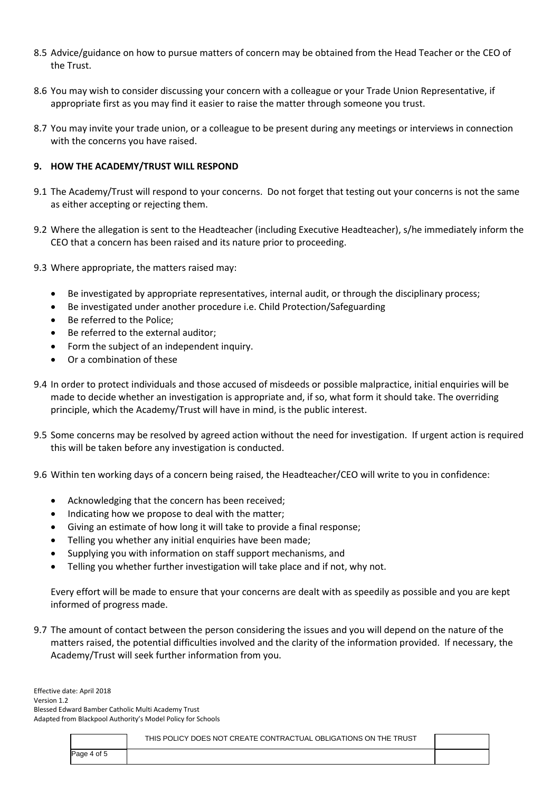- 8.5 Advice/guidance on how to pursue matters of concern may be obtained from the Head Teacher or the CEO of the Trust.
- 8.6 You may wish to consider discussing your concern with a colleague or your Trade Union Representative, if appropriate first as you may find it easier to raise the matter through someone you trust.
- 8.7 You may invite your trade union, or a colleague to be present during any meetings or interviews in connection with the concerns you have raised.

## **9. HOW THE ACADEMY/TRUST WILL RESPOND**

- 9.1 The Academy/Trust will respond to your concerns. Do not forget that testing out your concerns is not the same as either accepting or rejecting them.
- 9.2 Where the allegation is sent to the Headteacher (including Executive Headteacher), s/he immediately inform the CEO that a concern has been raised and its nature prior to proceeding.
- 9.3 Where appropriate, the matters raised may:
	- Be investigated by appropriate representatives, internal audit, or through the disciplinary process;
	- Be investigated under another procedure i.e. Child Protection/Safeguarding
	- Be referred to the Police;
	- Be referred to the external auditor;
	- Form the subject of an independent inquiry.
	- Or a combination of these
- 9.4 In order to protect individuals and those accused of misdeeds or possible malpractice, initial enquiries will be made to decide whether an investigation is appropriate and, if so, what form it should take. The overriding principle, which the Academy/Trust will have in mind, is the public interest.
- 9.5 Some concerns may be resolved by agreed action without the need for investigation. If urgent action is required this will be taken before any investigation is conducted.
- 9.6 Within ten working days of a concern being raised, the Headteacher/CEO will write to you in confidence:
	- Acknowledging that the concern has been received;
	- Indicating how we propose to deal with the matter;
	- Giving an estimate of how long it will take to provide a final response;
	- Telling you whether any initial enquiries have been made;
	- Supplying you with information on staff support mechanisms, and
	- Telling you whether further investigation will take place and if not, why not.

Every effort will be made to ensure that your concerns are dealt with as speedily as possible and you are kept informed of progress made.

9.7 The amount of contact between the person considering the issues and you will depend on the nature of the matters raised, the potential difficulties involved and the clarity of the information provided. If necessary, the Academy/Trust will seek further information from you.

|             | THIS POLICY DOES NOT CREATE CONTRACTUAL OBLIGATIONS ON THE TRUST |  |
|-------------|------------------------------------------------------------------|--|
| Page 4 of 5 |                                                                  |  |